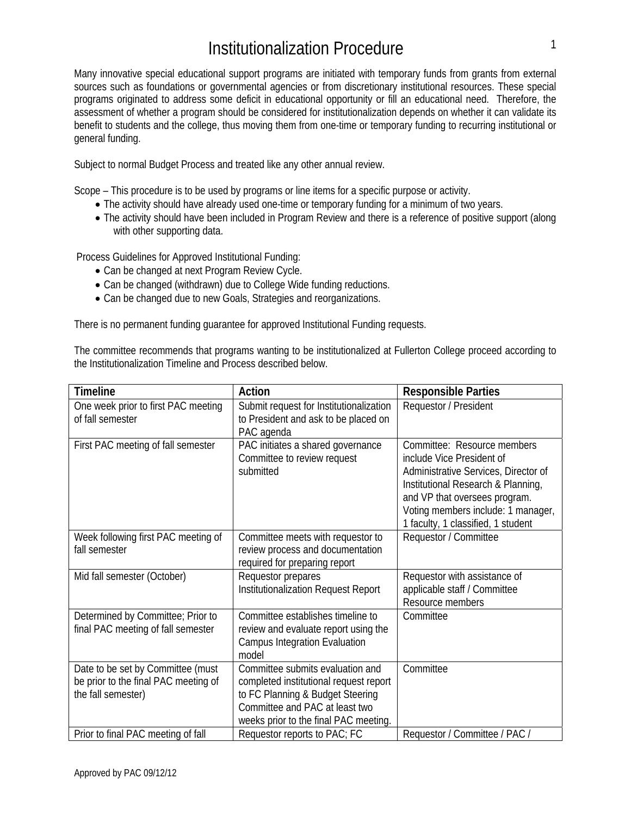# Institutionalization Procedure

Many innovative special educational support programs are initiated with temporary funds from grants from external sources such as foundations or governmental agencies or from discretionary institutional resources. These special programs originated to address some deficit in educational opportunity or fill an educational need. Therefore, the assessment of whether a program should be considered for institutionalization depends on whether it can validate its benefit to students and the college, thus moving them from one-time or temporary funding to recurring institutional or general funding.

Subject to normal Budget Process and treated like any other annual review.

Scope – This procedure is to be used by programs or line items for a specific purpose or activity.

- The activity should have already used one-time or temporary funding for a minimum of two years.
- The activity should have been included in Program Review and there is a reference of positive support (along with other supporting data.

Process Guidelines for Approved Institutional Funding:

- Can be changed at next Program Review Cycle.
- Can be changed (withdrawn) due to College Wide funding reductions.
- Can be changed due to new Goals, Strategies and reorganizations.

There is no permanent funding guarantee for approved Institutional Funding requests.

The committee recommends that programs wanting to be institutionalized at Fullerton College proceed according to the Institutionalization Timeline and Process described below.

| <b>Timeline</b>                                                                                 | Action                                                                                                                                                                                    | <b>Responsible Parties</b>                                                                                                                                                                                                                          |
|-------------------------------------------------------------------------------------------------|-------------------------------------------------------------------------------------------------------------------------------------------------------------------------------------------|-----------------------------------------------------------------------------------------------------------------------------------------------------------------------------------------------------------------------------------------------------|
| One week prior to first PAC meeting<br>of fall semester                                         | Submit request for Institutionalization<br>to President and ask to be placed on<br>PAC agenda                                                                                             | Requestor / President                                                                                                                                                                                                                               |
| First PAC meeting of fall semester                                                              | PAC initiates a shared governance<br>Committee to review request<br>submitted                                                                                                             | Committee: Resource members<br>include Vice President of<br>Administrative Services, Director of<br>Institutional Research & Planning,<br>and VP that oversees program.<br>Voting members include: 1 manager,<br>1 faculty, 1 classified, 1 student |
| Week following first PAC meeting of<br>fall semester                                            | Committee meets with requestor to<br>review process and documentation<br>required for preparing report                                                                                    | Requestor / Committee                                                                                                                                                                                                                               |
| Mid fall semester (October)                                                                     | Requestor prepares<br>Institutionalization Request Report                                                                                                                                 | Requestor with assistance of<br>applicable staff / Committee<br>Resource members                                                                                                                                                                    |
| Determined by Committee; Prior to<br>final PAC meeting of fall semester                         | Committee establishes timeline to<br>review and evaluate report using the<br><b>Campus Integration Evaluation</b><br>model                                                                | Committee                                                                                                                                                                                                                                           |
| Date to be set by Committee (must<br>be prior to the final PAC meeting of<br>the fall semester) | Committee submits evaluation and<br>completed institutional request report<br>to FC Planning & Budget Steering<br>Committee and PAC at least two<br>weeks prior to the final PAC meeting. | Committee                                                                                                                                                                                                                                           |
| Prior to final PAC meeting of fall                                                              | Requestor reports to PAC; FC                                                                                                                                                              | Requestor / Committee / PAC /                                                                                                                                                                                                                       |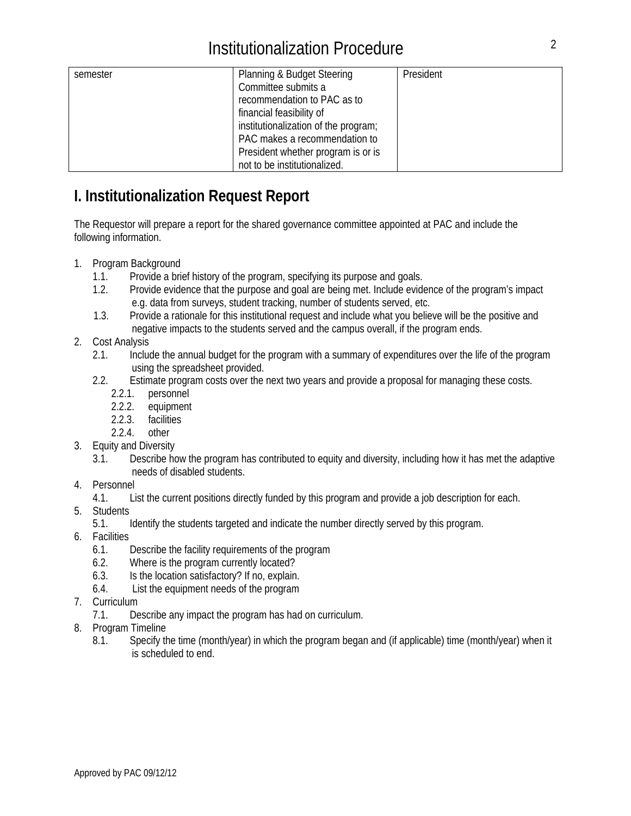| semester | Planning & Budget Steering           | President |
|----------|--------------------------------------|-----------|
|          | Committee submits a                  |           |
|          | recommendation to PAC as to          |           |
|          | financial feasibility of             |           |
|          | institutionalization of the program; |           |
|          | PAC makes a recommendation to        |           |
|          | President whether program is or is   |           |
|          | not to be institutionalized.         |           |

### **I. Institutionalization Request Report**

The Requestor will prepare a report for the shared governance committee appointed at PAC and include the following information.

- 1. Program Background
	- 1.1. Provide a brief history of the program, specifying its purpose and goals.
	- 1.2. Provide evidence that the purpose and goal are being met. Include evidence of the program's impact e.g. data from surveys, student tracking, number of students served, etc.
	- 1.3. Provide a rationale for this institutional request and include what you believe will be the positive and negative impacts to the students served and the campus overall, if the program ends.
- 2. Cost Analysis
	- 2.1. Include the annual budget for the program with a summary of expenditures over the life of the program using the spreadsheet provided.
	- 2.2. Estimate program costs over the next two years and provide a proposal for managing these costs.
		- 2.2.1. personnel
		- 2.2.2. equipment
		- 2.2.3. facilities
		- 2.2.4. other
- 3. Equity and Diversity
	- 3.1. Describe how the program has contributed to equity and diversity, including how it has met the adaptive needs of disabled students.
- 4. Personnel
	- 4.1. List the current positions directly funded by this program and provide a job description for each.
- 5. Students
	- 5.1. Identify the students targeted and indicate the number directly served by this program.
- 6. Facilities
	- 6.1. Describe the facility requirements of the program
	- 6.2. Where is the program currently located?
	- 6.3. Is the location satisfactory? If no, explain.
	- 6.4. List the equipment needs of the program
- 7. Curriculum
	- 7.1. Describe any impact the program has had on curriculum.
- 8. Program Timeline
	- 8.1. Specify the time (month/year) in which the program began and (if applicable) time (month/year) when it is scheduled to end.